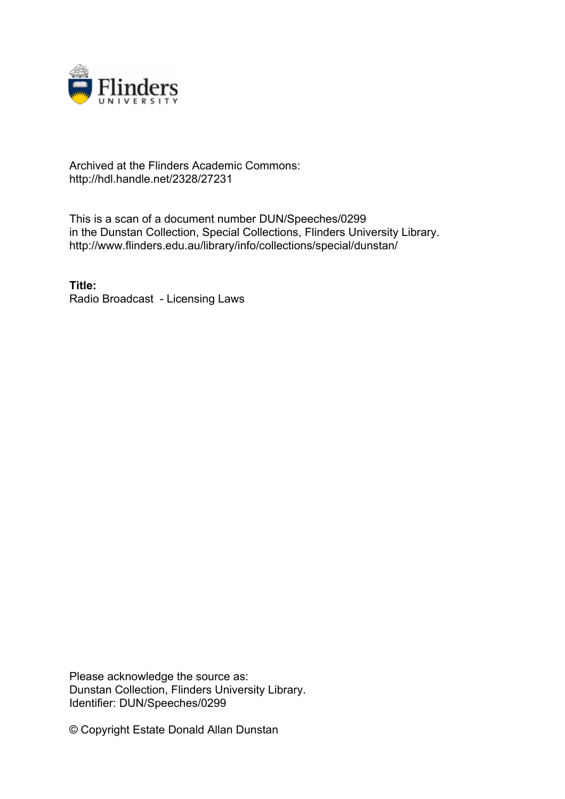

## Archived at the Flinders Academic Commons: http://hdl.handle.net/2328/27231

This is a scan of a document number DUN/Speeches/0299 in the Dunstan Collection, Special Collections, Flinders University Library. http://www.flinders.edu.au/library/info/collections/special/dunstan/

**Title:** Radio Broadcast - Licensing Laws

Please acknowledge the source as: Dunstan Collection, Flinders University Library. Identifier: DUN/Speeches/0299

© Copyright Estate Donald Allan Dunstan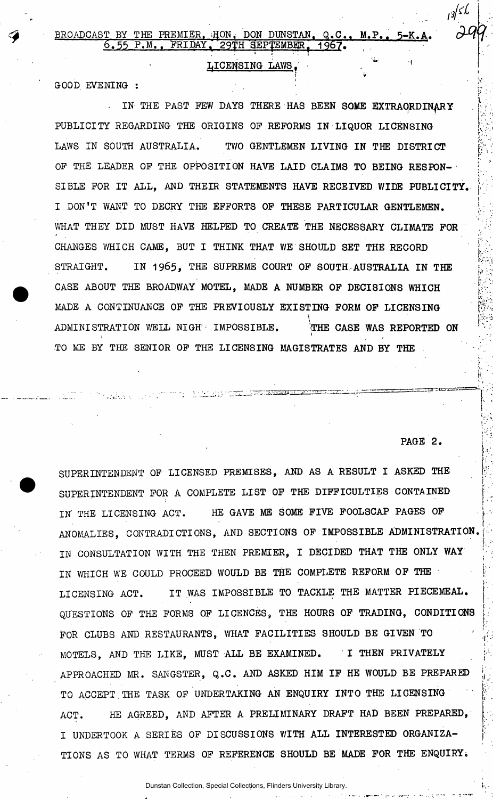## LICENSING LAWS.

**i »** 

 $\frac{1}{2}$ Good, brightnaments :

IN THE PAST FEW DAYS THERE HAS BEEN SOME EXTRAORDINARY PUBLICITY REGARDING THE ORIGINS OP REFORMS IN LIQUOR LICENSING LAWS IN SOUTH AUSTRALIA. TWO GENTLEMEN LIVING IN THE DISTRICT OF THE LEADER OF THE OPPOSITION HAVE LAID CLAIMS TO BEING RESPON-SIBLE FOR IT ALL, AND THEIR STATEMENTS HAVE RECEIVED WIDE PUBLICITY. I DON'T WANT TO DECRY THE EFFORTS OF THESE PARTICULAR GENTLEMEN. WHAT THEY DID MUST HAVE HELPED TO CREATE THE NECESSARY CLIMATE FOR CHANGES WHICH CAME, BUT I THINK THAT WE SHOULD SET THE RECORD  $C_{\rm eff}$  which can expect that  $\Gamma_{\rm eff}$  is the record set the record set the record set the record set the record STRAIGHT. IN 1965, THE SUPREME COURT OF SOUTH-AUSTRALIA IN THE jf MADE A CONTINUANCE OF THE PREVIOUSLY EXISTING FORM OF LICENSING MADE A CONTINUES OF THE PREVIOUSLY EXISTING FORM OF THE PREVIOUS LICENSING FORM OF LICENSING FORM OF LICENSING F  $\overline{\phantom{I}}$ TO ME BY THE SENIOR OF THE LICENSING MAGISTRATES AND BY THE

PAGE 2.

**rrZ\* '. Su'IuHliL-A\* •' ' I' '• lZZZ- ' — ' "<sup>1</sup> \* J** i' i I

*r* 

 $13/56$ 

i;

**I** 

**t** 

SUPERINTENDENT OF LICENSED PREMISES, AND AS A RESULT I ASKED THE SUPERINTENDENT FOR A COMPLETE LIST OF THE DIFFICULTIES CONTAINED IN THE LICENSING ACT. HE GAVE ME SOME FIVE FOOLSCAP PAGES OF ANOMALIES, CONTRADICTIONS, AND SECTIONS OF IMPOSSIBLE ADMINISTRATION. IN CONSULTATION WITH THE THEN PREMIER, I DECIDED THAT THE ONLY WAY IN WHICH WE COULD PROCEED WOULD BE THE COMPLETE REFORM OF THE LICENSING ACT. IT WAS IMPOSSIBLE TO TACKLE THE MATTER PIECEMEAL. QUESTIONS OF THE FORMS OF LICENCES, THE HOURS OF TRADING, CONDITIONS FOR CLUBS AND RESTAURANTS. WHAT FACILITIES SHOULD BE GIVEN TO MOTELS, AND THE LIKE, MUST ALL BE EXAMINED. I THEN PRIVATELY APPROACHED MR. SANGSTER, Q.C. AND ASKED HIM IF HE WOULD BE PREPARED TO ACCEPT THE TASK OF UNDERTAKING AN ENQUIRY INTO THE LICENSING ACT. HE AGREED, AND AFTER A PRELIMINARY DRAFT HAD BEEN PREPARED, I UNDERTOOK A SERIES OF DISCUSSIONS WITH ALL INTERESTED ORGANIZA-TIONS AS TO WHAT TERMS OF REFERENCE SHOULD BE MADE FOR THE ENQUIRY.

Dunstan Collection, Special Collections, Flinders University Library.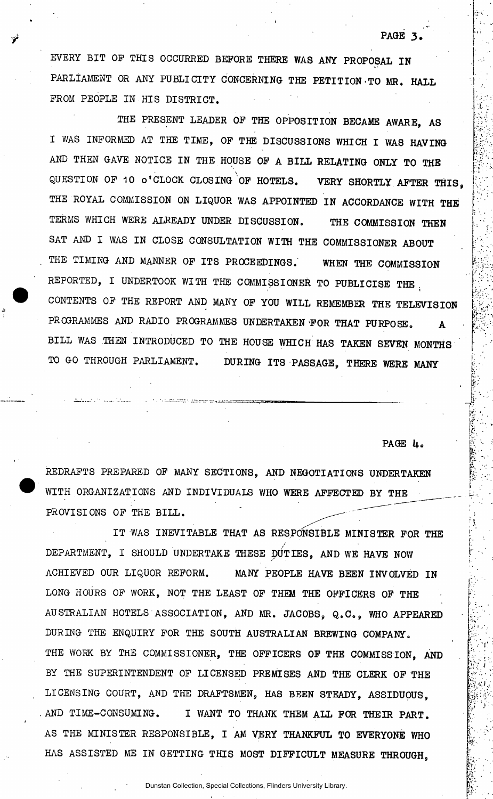EVERY BIT OP THIS OCCURRED BEFORE THERE WAS ANT PROPOSAL IN PARLIAMENT OR ANY PUBLICITY CONCERNING THE PETITION-TO MR. HALL PROM PEOPLE IN.HIS DISTRICT.

THE PRESENT LEADER OP THE OPPOSITION BECAME AWARE, AS I WAS INFORMED AT THE TIME, OF THE DISCUSSIONS WHICH I WAS HAVING AND THEN GAVE NOTICE IN THE HOUSE OP A BILL RELATING ONLY TO THE QUESTION OF 10 O'CLOCK CLOSING OF HOTELS. VERY SHORTLY AFTER THIS. THE ROYAL COMMISSION ON LIQUOR WAS APPOINTED IN ACCORDANCE WITH THE TERMS WHICH WERE ALREADY UNDER DISCUSSION. THE COMMISSION THEN SAT AND I WAS IN CLOSE CONSULTATION WITH THE COMMISSIONER ABOUT THE TIMING AND MANNER OP ITS PROCEEDINGS. WHEN THE COMMISSION REPORTED, I UNDERTOOK WITH THE COMMISSIONER TO PUBLICISE THE . **i i**  CONTENTS OF THE REPORT AND MANY OF YOU WILL REMEMBER THE TELEVISION PROGRAMMES AND RADIO PROGRAMMES UNDERTAKEN FOR THAT PURPOSE. A BILL WAS THEN INTRODUCED TO THE HOUSE WHICH HAS TAKEN SEVEN MONTHS TO GO THROUGH PARLIAMENT. DURING ITS PASSAGE, THERE WERE MANY

PAGE 4.

**r »** 

r

iv

**I** 

*l* 

PAGE 3.

REDRAFTS PREPARED OF MANY SECTIONS, AND NEGOTIATIONS UNDERTAKEN WITH ORGANIZATIONS AND INDIVIDUALS WHO WERE AFFECTED BY THE PROVISIONS OP THE BILL.

IT WAS INEVITABLE THAT AS RESPONSIBLE MINISTER FOR THE / DEPARTMENT, I SHOULD UNDERTAKE THESE DUTIES. AND WE HAVE NOW ACHIEVED OUR LIQUOR REFORM. MANY PEOPLE HAVE BEEN INVOLVED IN LONG HOURS OP WORK, NOT THE LEAST OP THEM THE OFFICERS OP THE AUSTRALIAN HOTELS ASSOCIATION, AND MR. JACOBS, Q.C., WHO APPEARED DURING THE ENQUIRY FOR THE SOUTH AUSTRALIAN BREWING COMPANY. THE WORK BY THE COMMISSIONER, THE OFFICERS OF THE COMMISSION, AND BY THE SUPERINTENDENT OF LICENSED PREMISES AND THE CLERK OF THE LICENSING COURT, AND THE DRAFTSMEN, HAS BEEN STEADY, ASSIDUOUS, AND TIME-CONSUMING. I WANT TO THANK THEM ALL FOR THEIR PART. AS THE MINISTER RESPONSIBLE, I AM VERY THANKFUL TO EVERYONE WHO HAS ASSISTED ME IN GETTING THIS MOST DIFFICULT MEASURE THROUGH,

Dunstan Collection, Special Collections, Flinders University Library.